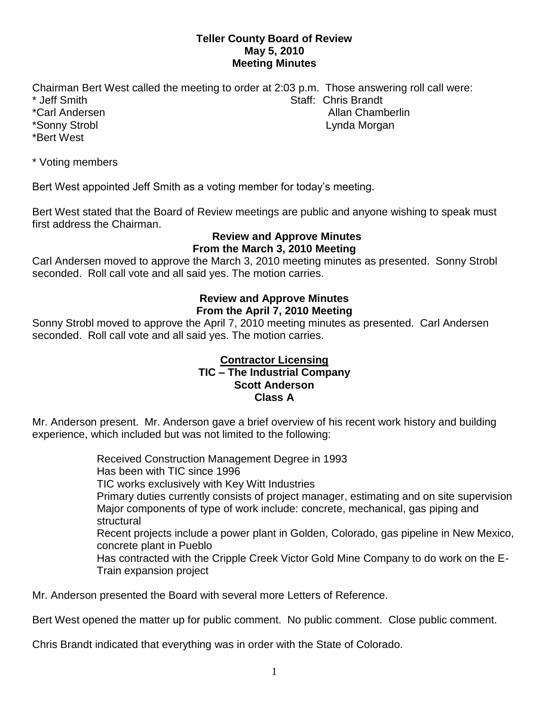### **Teller County Board of Review May 5, 2010 Meeting Minutes**

Chairman Bert West called the meeting to order at 2:03 p.m. Those answering roll call were: \* Jeff Smith Staff: Chris Brandt \*Carl Andersen Allan Chamberlin Allan Chamberlin \*Sonny Strobl Lynda Morgan \*Bert West

\* Voting members

Bert West appointed Jeff Smith as a voting member for today's meeting.

Bert West stated that the Board of Review meetings are public and anyone wishing to speak must first address the Chairman.

#### **Review and Approve Minutes From the March 3, 2010 Meeting**

Carl Andersen moved to approve the March 3, 2010 meeting minutes as presented. Sonny Strobl seconded. Roll call vote and all said yes. The motion carries.

# **Review and Approve Minutes From the April 7, 2010 Meeting**

Sonny Strobl moved to approve the April 7, 2010 meeting minutes as presented. Carl Andersen seconded. Roll call vote and all said yes. The motion carries.

#### **Contractor Licensing TIC – The Industrial Company Scott Anderson Class A**

Mr. Anderson present. Mr. Anderson gave a brief overview of his recent work history and building experience, which included but was not limited to the following:

> Received Construction Management Degree in 1993 Has been with TIC since 1996 TIC works exclusively with Key Witt Industries Primary duties currently consists of project manager, estimating and on site supervision Major components of type of work include: concrete, mechanical, gas piping and structural Recent projects include a power plant in Golden, Colorado, gas pipeline in New Mexico, concrete plant in Pueblo Has contracted with the Cripple Creek Victor Gold Mine Company to do work on the E-Train expansion project

Mr. Anderson presented the Board with several more Letters of Reference.

Bert West opened the matter up for public comment. No public comment. Close public comment.

Chris Brandt indicated that everything was in order with the State of Colorado.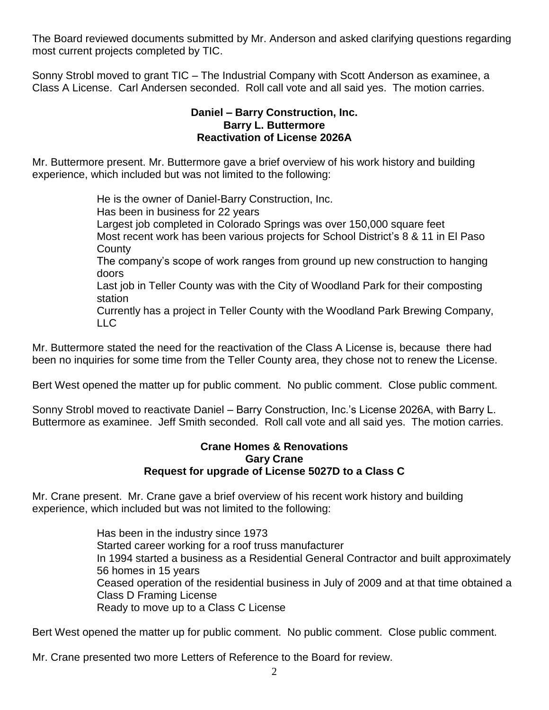The Board reviewed documents submitted by Mr. Anderson and asked clarifying questions regarding most current projects completed by TIC.

Sonny Strobl moved to grant TIC – The Industrial Company with Scott Anderson as examinee, a Class A License. Carl Andersen seconded. Roll call vote and all said yes. The motion carries.

#### **Daniel – Barry Construction, Inc. Barry L. Buttermore Reactivation of License 2026A**

Mr. Buttermore present. Mr. Buttermore gave a brief overview of his work history and building experience, which included but was not limited to the following:

He is the owner of Daniel-Barry Construction, Inc.

Has been in business for 22 years

Largest job completed in Colorado Springs was over 150,000 square feet Most recent work has been various projects for School District's 8 & 11 in El Paso **County** 

The company's scope of work ranges from ground up new construction to hanging doors

Last job in Teller County was with the City of Woodland Park for their composting station

Currently has a project in Teller County with the Woodland Park Brewing Company, LLC

Mr. Buttermore stated the need for the reactivation of the Class A License is, because there had been no inquiries for some time from the Teller County area, they chose not to renew the License.

Bert West opened the matter up for public comment. No public comment. Close public comment.

Sonny Strobl moved to reactivate Daniel – Barry Construction, Inc.'s License 2026A, with Barry L. Buttermore as examinee. Jeff Smith seconded. Roll call vote and all said yes. The motion carries.

### **Crane Homes & Renovations Gary Crane Request for upgrade of License 5027D to a Class C**

Mr. Crane present. Mr. Crane gave a brief overview of his recent work history and building experience, which included but was not limited to the following:

> Has been in the industry since 1973 Started career working for a roof truss manufacturer In 1994 started a business as a Residential General Contractor and built approximately 56 homes in 15 years Ceased operation of the residential business in July of 2009 and at that time obtained a Class D Framing License Ready to move up to a Class C License

Bert West opened the matter up for public comment. No public comment. Close public comment.

Mr. Crane presented two more Letters of Reference to the Board for review.